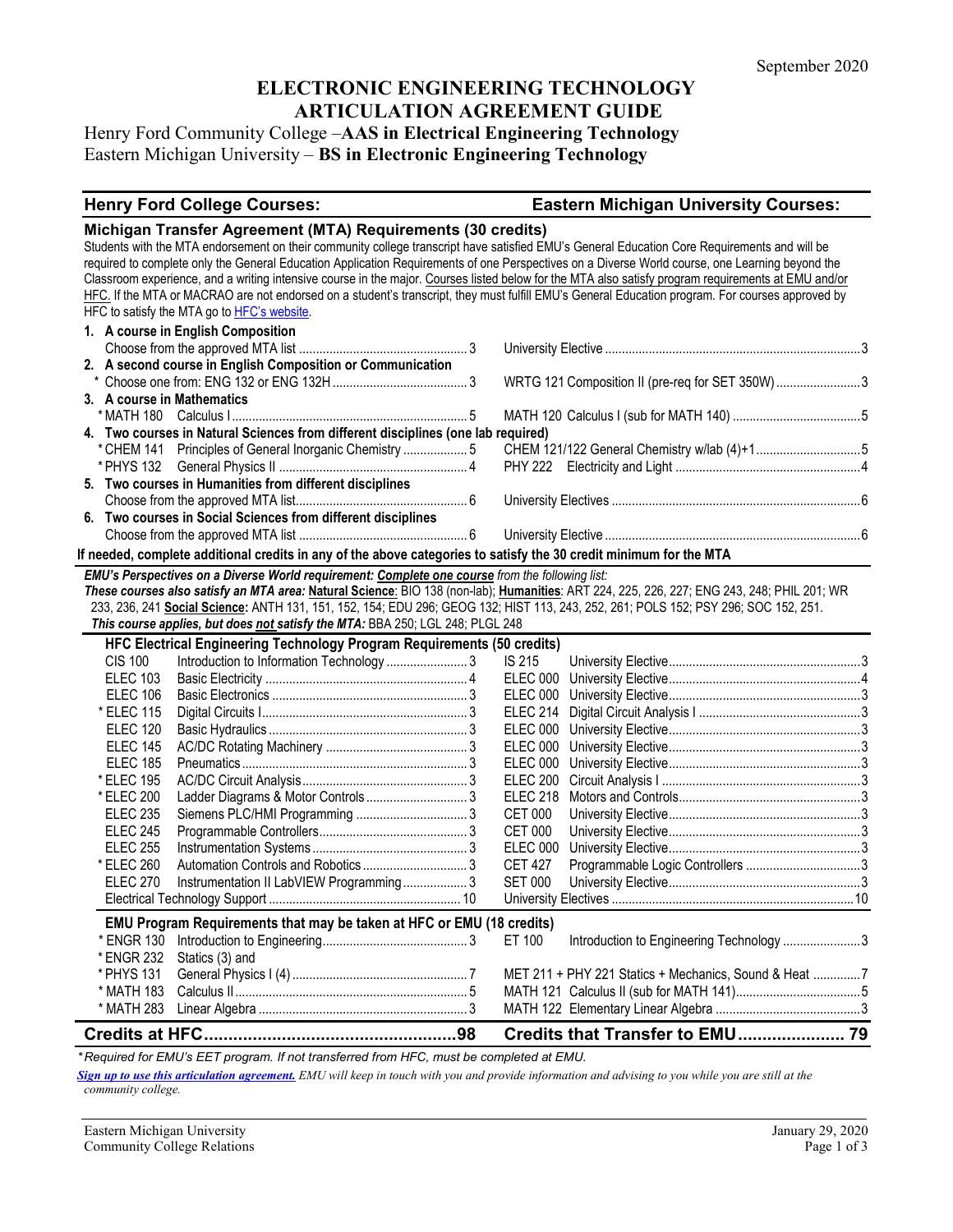# **ELECTRONIC ENGINEERING TECHNOLOGY ARTICULATION AGREEMENT GUIDE**

Henry Ford Community College –**AAS in Electrical Engineering Technology** Eastern Michigan University – **BS in Electronic Engineering Technology**

#### **Henry Ford College Courses: Eastern Michigan University Courses:**

|                            | Michigan Transfer Agreement (MTA) Requirements (30 credits)<br>HFC to satisfy the MTA go to HFC's website.         | Students with the MTA endorsement on their community college transcript have satisfied EMU's General Education Core Requirements and will be<br>required to complete only the General Education Application Requirements of one Perspectives on a Diverse World course, one Learning beyond the<br>Classroom experience, and a writing intensive course in the major. Courses listed below for the MTA also satisfy program requirements at EMU and/or<br>HFC. If the MTA or MACRAO are not endorsed on a student's transcript, they must fulfill EMU's General Education program. For courses approved by |  |
|----------------------------|--------------------------------------------------------------------------------------------------------------------|------------------------------------------------------------------------------------------------------------------------------------------------------------------------------------------------------------------------------------------------------------------------------------------------------------------------------------------------------------------------------------------------------------------------------------------------------------------------------------------------------------------------------------------------------------------------------------------------------------|--|
|                            | 1. A course in English Composition                                                                                 |                                                                                                                                                                                                                                                                                                                                                                                                                                                                                                                                                                                                            |  |
|                            |                                                                                                                    |                                                                                                                                                                                                                                                                                                                                                                                                                                                                                                                                                                                                            |  |
|                            | 2. A second course in English Composition or Communication                                                         |                                                                                                                                                                                                                                                                                                                                                                                                                                                                                                                                                                                                            |  |
|                            |                                                                                                                    | WRTG 121 Composition II (pre-req for SET 350W) 3                                                                                                                                                                                                                                                                                                                                                                                                                                                                                                                                                           |  |
| 3. A course in Mathematics |                                                                                                                    |                                                                                                                                                                                                                                                                                                                                                                                                                                                                                                                                                                                                            |  |
|                            |                                                                                                                    |                                                                                                                                                                                                                                                                                                                                                                                                                                                                                                                                                                                                            |  |
|                            | 4. Two courses in Natural Sciences from different disciplines (one lab required)                                   |                                                                                                                                                                                                                                                                                                                                                                                                                                                                                                                                                                                                            |  |
|                            | * CHEM 141 Principles of General Inorganic Chemistry  5                                                            |                                                                                                                                                                                                                                                                                                                                                                                                                                                                                                                                                                                                            |  |
|                            | 5. Two courses in Humanities from different disciplines                                                            |                                                                                                                                                                                                                                                                                                                                                                                                                                                                                                                                                                                                            |  |
|                            |                                                                                                                    |                                                                                                                                                                                                                                                                                                                                                                                                                                                                                                                                                                                                            |  |
|                            | 6. Two courses in Social Sciences from different disciplines                                                       |                                                                                                                                                                                                                                                                                                                                                                                                                                                                                                                                                                                                            |  |
|                            |                                                                                                                    |                                                                                                                                                                                                                                                                                                                                                                                                                                                                                                                                                                                                            |  |
|                            | If needed, complete additional credits in any of the above categories to satisfy the 30 credit minimum for the MTA |                                                                                                                                                                                                                                                                                                                                                                                                                                                                                                                                                                                                            |  |
|                            | EMU's Perspectives on a Diverse World requirement: Complete one course from the following list:                    |                                                                                                                                                                                                                                                                                                                                                                                                                                                                                                                                                                                                            |  |
|                            |                                                                                                                    | These courses also satisfy an MTA area: Natural Science: BIO 138 (non-lab); Humanities: ART 224, 225, 226, 227; ENG 243, 248; PHIL 201; WR                                                                                                                                                                                                                                                                                                                                                                                                                                                                 |  |
|                            |                                                                                                                    | 233, 236, 241 Social Science: ANTH 131, 151, 152, 154; EDU 296; GEOG 132; HIST 113, 243, 252, 261; POLS 152; PSY 296; SOC 152, 251.                                                                                                                                                                                                                                                                                                                                                                                                                                                                        |  |
|                            | This course applies, but does not satisfy the MTA: BBA 250; LGL 248; PLGL 248                                      |                                                                                                                                                                                                                                                                                                                                                                                                                                                                                                                                                                                                            |  |
|                            | HFC Electrical Engineering Technology Program Requirements (50 credits)                                            |                                                                                                                                                                                                                                                                                                                                                                                                                                                                                                                                                                                                            |  |
| <b>CIS 100</b>             |                                                                                                                    | IS 215                                                                                                                                                                                                                                                                                                                                                                                                                                                                                                                                                                                                     |  |
| <b>ELEC 103</b>            |                                                                                                                    |                                                                                                                                                                                                                                                                                                                                                                                                                                                                                                                                                                                                            |  |
| <b>ELEC 106</b>            |                                                                                                                    |                                                                                                                                                                                                                                                                                                                                                                                                                                                                                                                                                                                                            |  |
| * ELEC 115                 |                                                                                                                    | <b>ELEC 214</b>                                                                                                                                                                                                                                                                                                                                                                                                                                                                                                                                                                                            |  |
| <b>ELEC 120</b>            |                                                                                                                    |                                                                                                                                                                                                                                                                                                                                                                                                                                                                                                                                                                                                            |  |
| <b>ELEC 145</b>            |                                                                                                                    |                                                                                                                                                                                                                                                                                                                                                                                                                                                                                                                                                                                                            |  |
| <b>ELEC 185</b>            |                                                                                                                    | ELEC 000                                                                                                                                                                                                                                                                                                                                                                                                                                                                                                                                                                                                   |  |
| * ELEC 195                 |                                                                                                                    |                                                                                                                                                                                                                                                                                                                                                                                                                                                                                                                                                                                                            |  |
| * ELEC 200                 |                                                                                                                    | <b>ELEC 218</b>                                                                                                                                                                                                                                                                                                                                                                                                                                                                                                                                                                                            |  |
| <b>ELEC 235</b>            |                                                                                                                    | <b>CET 000</b>                                                                                                                                                                                                                                                                                                                                                                                                                                                                                                                                                                                             |  |
| <b>ELEC 245</b>            |                                                                                                                    | <b>CET 000</b>                                                                                                                                                                                                                                                                                                                                                                                                                                                                                                                                                                                             |  |
| <b>ELEC 255</b>            |                                                                                                                    | <b>ELEC 000</b>                                                                                                                                                                                                                                                                                                                                                                                                                                                                                                                                                                                            |  |
| * ELEC 260                 |                                                                                                                    | <b>CET 427</b>                                                                                                                                                                                                                                                                                                                                                                                                                                                                                                                                                                                             |  |
| <b>ELEC 270</b>            | Instrumentation II LabVIEW Programming 3                                                                           | <b>SET 000</b>                                                                                                                                                                                                                                                                                                                                                                                                                                                                                                                                                                                             |  |
|                            |                                                                                                                    |                                                                                                                                                                                                                                                                                                                                                                                                                                                                                                                                                                                                            |  |
|                            | EMU Program Requirements that may be taken at HFC or EMU (18 credits)                                              |                                                                                                                                                                                                                                                                                                                                                                                                                                                                                                                                                                                                            |  |
|                            |                                                                                                                    | ET 100<br>Introduction to Engineering Technology 3                                                                                                                                                                                                                                                                                                                                                                                                                                                                                                                                                         |  |
|                            | * ENGR 232 Statics (3) and                                                                                         |                                                                                                                                                                                                                                                                                                                                                                                                                                                                                                                                                                                                            |  |
| * PHYS 131                 |                                                                                                                    | MET 211 + PHY 221 Statics + Mechanics, Sound & Heat 7                                                                                                                                                                                                                                                                                                                                                                                                                                                                                                                                                      |  |
| * MATH 183                 |                                                                                                                    |                                                                                                                                                                                                                                                                                                                                                                                                                                                                                                                                                                                                            |  |
| * MATH 283                 |                                                                                                                    |                                                                                                                                                                                                                                                                                                                                                                                                                                                                                                                                                                                                            |  |
|                            |                                                                                                                    | Credits that Transfer to EMU 79                                                                                                                                                                                                                                                                                                                                                                                                                                                                                                                                                                            |  |

*\* Required for EMU's EET program. If not transferred from HFC, must be completed at EMU.*

*[Sign up to use this articulation agreement.](http://www.emich.edu/ccr/articulation-agreements/signup.php) EMU will keep in touch with you and provide information and advising to you while you are still at the community college.*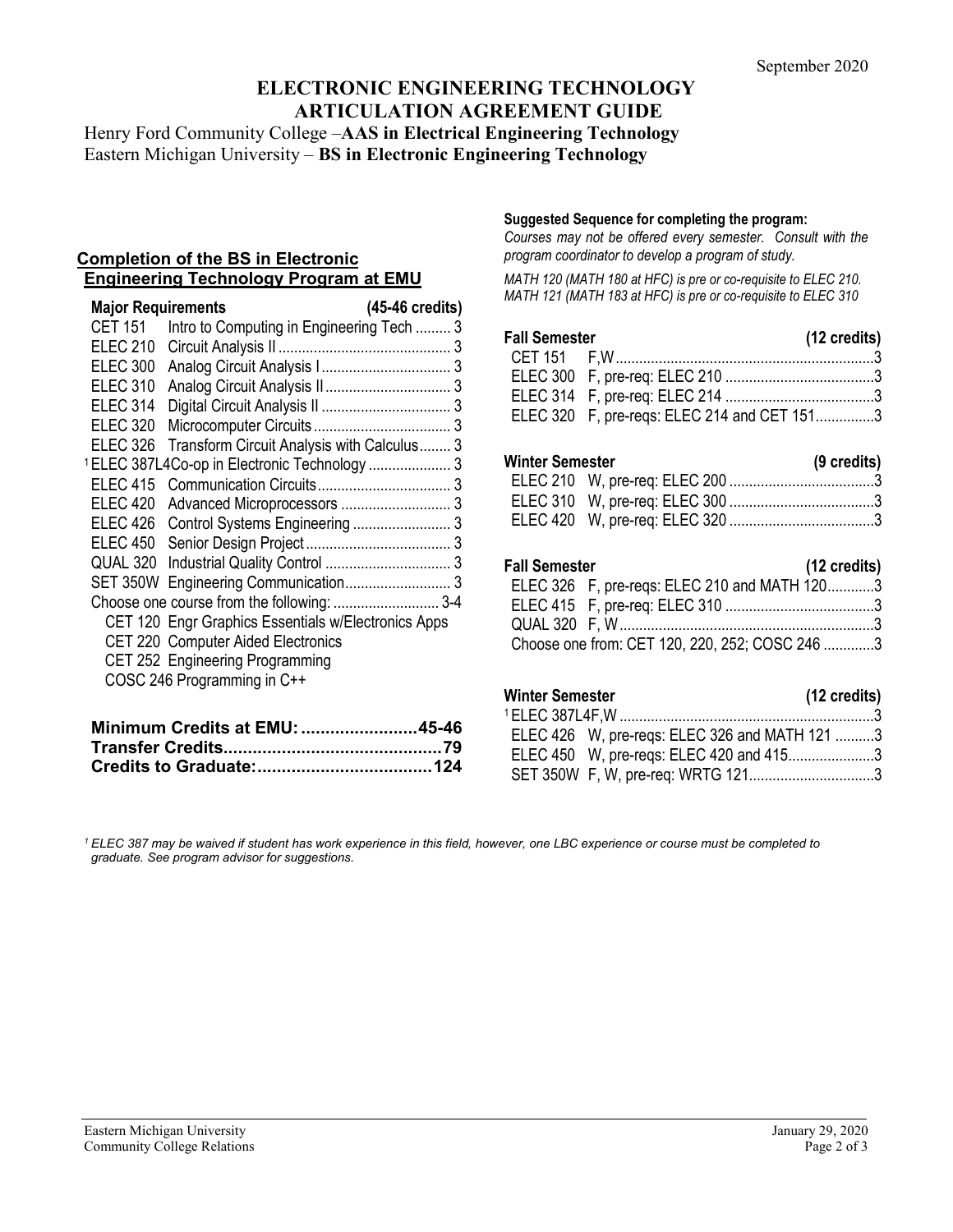# **ELECTRONIC ENGINEERING TECHNOLOGY ARTICULATION AGREEMENT GUIDE**

Henry Ford Community College –**AAS in Electrical Engineering Technology** Eastern Michigan University – **BS in Electronic Engineering Technology**

#### **Completion of the BS in Electronic Engineering Technology Program at EMU**

| <b>Major Requirements</b> |                                                          | (45-46 credits) |
|---------------------------|----------------------------------------------------------|-----------------|
| <b>CET 151</b>            | Intro to Computing in Engineering Tech  3                |                 |
| <b>ELEC 210</b>           |                                                          |                 |
| <b>ELEC 300</b>           |                                                          |                 |
| <b>ELEC 310</b>           |                                                          |                 |
| <b>ELEC 314</b>           |                                                          |                 |
| <b>ELEC 320</b>           |                                                          |                 |
| <b>ELEC 326</b>           | Transform Circuit Analysis with Calculus 3               |                 |
|                           | <sup>1</sup> ELEC 387L4Co-op in Electronic Technology  3 |                 |
| <b>ELEC 415</b>           |                                                          |                 |
| <b>ELEC 420</b>           |                                                          |                 |
| ELEC 426                  |                                                          |                 |
| ELEC 450                  |                                                          |                 |
| QUAL 320                  |                                                          |                 |
|                           | SET 350W Engineering Communication 3                     |                 |
|                           | Choose one course from the following:  3-4               |                 |
|                           | CET 120 Engr Graphics Essentials w/Electronics Apps      |                 |
|                           | CET 220 Computer Aided Electronics                       |                 |
|                           | CET 252 Engineering Programming                          |                 |
|                           | COSC 246 Programming in C++                              |                 |

| Minimum Credits at EMU: 45-46 |  |
|-------------------------------|--|
|                               |  |
|                               |  |

#### **Suggested Sequence for completing the program:**

*Courses may not be offered every semester. Consult with the program coordinator to develop a program of study.* 

*MATH 120 (MATH 180 at HFC) is pre or co-requisite to ELEC 210. MATH 121 (MATH 183 at HFC) is pre or co-requisite to ELEC 310*

| <b>Fall Semester</b> |                                             | (12 credits) |
|----------------------|---------------------------------------------|--------------|
|                      |                                             |              |
|                      |                                             |              |
|                      |                                             |              |
|                      | ELEC 320 F, pre-regs: ELEC 214 and CET 1513 |              |

## **Winter Semester (9 credits)**

### **Fall Semester (12 credits)**

| . | $\cdots$                                       |  |
|---|------------------------------------------------|--|
|   | ELEC 326 F, pre-regs: ELEC 210 and MATH 1203   |  |
|   |                                                |  |
|   |                                                |  |
|   | Choose one from: CET 120, 220, 252; COSC 246 3 |  |

# **Winter Semester (12 credits)** 1ELEC 387L4F,W .................................................................3 ELEC 426 W, pre-reqs: ELEC 326 and MATH 121 ..........3

ELEC 450 W, pre-reqs: ELEC 420 and 415......................3 SET 350W F, W, pre-req: WRTG 121................................3

*<sup>1</sup> ELEC 387 may be waived if student has work experience in this field, however, one LBC experience or course must be completed to graduate. See program advisor for suggestions.*